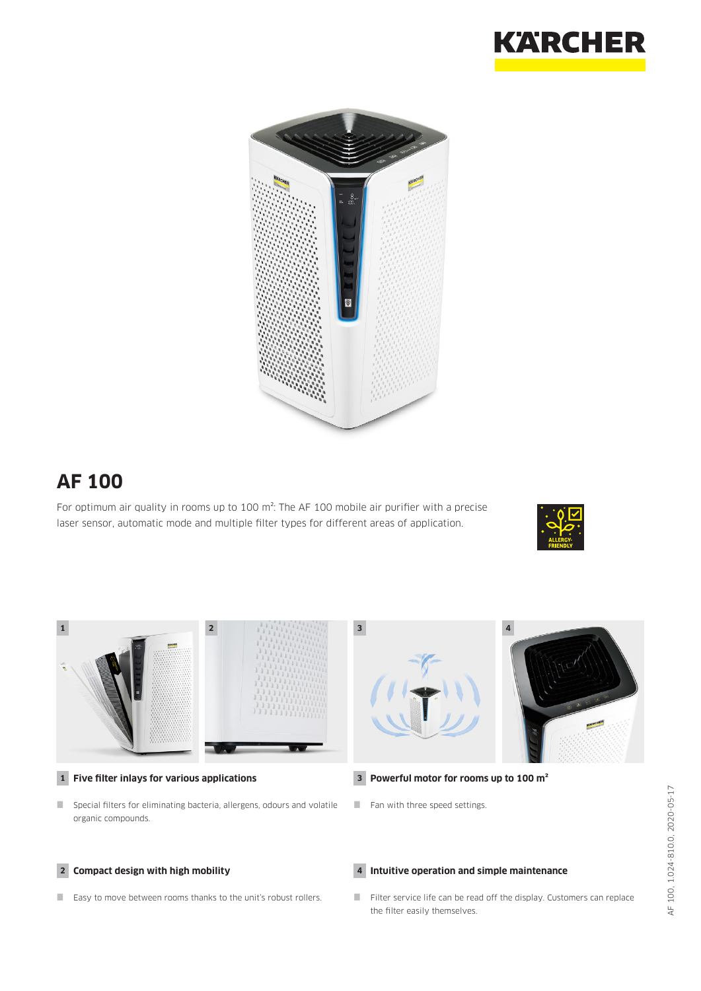



# **AF 100**

For optimum air quality in rooms up to 100 m<sup>2</sup>: The AF 100 mobile air purifier with a precise laser sensor, automatic mode and multiple filter types for different areas of application.





- **1 Five filter inlays for various applications**
- Special filters for eliminating bacteria, allergens, odours and volatile organic compounds.

#### **2 Compact design with high mobility**

Easy to move between rooms thanks to the unit's robust rollers.

- **3 Powerful motor for rooms up to 100 m²**
- $\blacksquare$  Fan with three speed settings.

#### **4 Intuitive operation and simple maintenance**

Filter service life can be read off the display. Customers can replace the filter easily themselves.